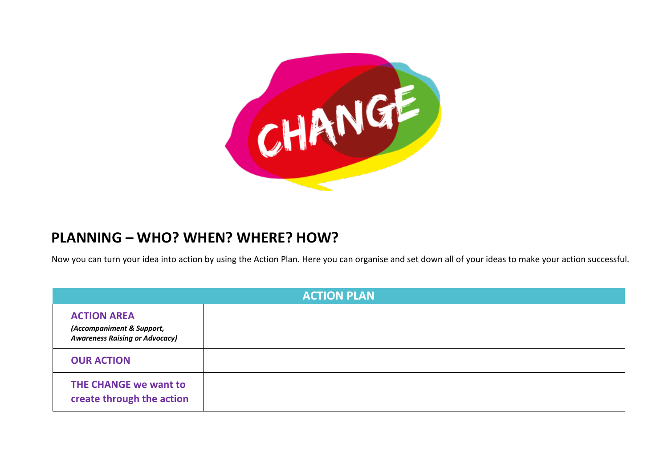

## **PLANNING – WHO? WHEN? WHERE? HOW?**

Now you can turn your idea into action by using the Action Plan. Here you can organise and set down all of your ideas to make your action successful.

| <b>ACTION PLAN</b>                                                                       |  |  |
|------------------------------------------------------------------------------------------|--|--|
| <b>ACTION AREA</b><br>(Accompaniment & Support,<br><b>Awareness Raising or Advocacy)</b> |  |  |
| <b>OUR ACTION</b>                                                                        |  |  |
| <b>THE CHANGE we want to</b><br>create through the action                                |  |  |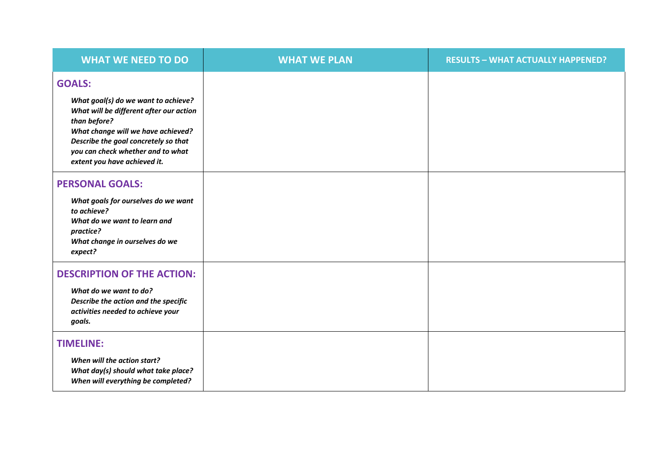| <b>WHAT WE NEED TO DO</b>                                                                                                                                                                                                                                          | <b>WHAT WE PLAN</b> | <b>RESULTS - WHAT ACTUALLY HAPPENED?</b> |
|--------------------------------------------------------------------------------------------------------------------------------------------------------------------------------------------------------------------------------------------------------------------|---------------------|------------------------------------------|
| <b>GOALS:</b><br>What goal(s) do we want to achieve?<br>What will be different after our action<br>than before?<br>What change will we have achieved?<br>Describe the goal concretely so that<br>you can check whether and to what<br>extent you have achieved it. |                     |                                          |
| <b>PERSONAL GOALS:</b><br>What goals for ourselves do we want<br>to achieve?<br>What do we want to learn and<br>practice?<br>What change in ourselves do we<br>expect?                                                                                             |                     |                                          |
| <b>DESCRIPTION OF THE ACTION:</b><br>What do we want to do?<br>Describe the action and the specific<br>activities needed to achieve your<br>goals.                                                                                                                 |                     |                                          |
| <b>TIMELINE:</b><br>When will the action start?<br>What day(s) should what take place?<br>When will everything be completed?                                                                                                                                       |                     |                                          |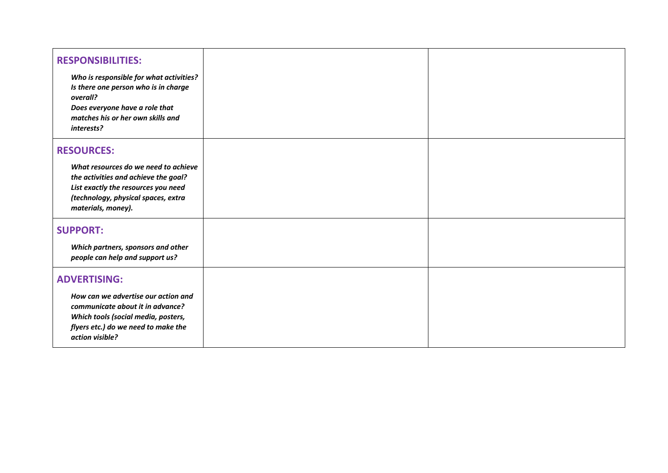| <b>RESPONSIBILITIES:</b><br>Who is responsible for what activities?<br>Is there one person who is in charge<br>overall?<br>Does everyone have a role that<br>matches his or her own skills and<br>interests? |  |
|--------------------------------------------------------------------------------------------------------------------------------------------------------------------------------------------------------------|--|
| <b>RESOURCES:</b><br>What resources do we need to achieve<br>the activities and achieve the goal?<br>List exactly the resources you need<br>(technology, physical spaces, extra<br>materials, money).        |  |
| <b>SUPPORT:</b><br>Which partners, sponsors and other<br>people can help and support us?                                                                                                                     |  |
| <b>ADVERTISING:</b><br>How can we advertise our action and<br>communicate about it in advance?<br>Which tools (social media, posters,<br>flyers etc.) do we need to make the<br>action visible?              |  |